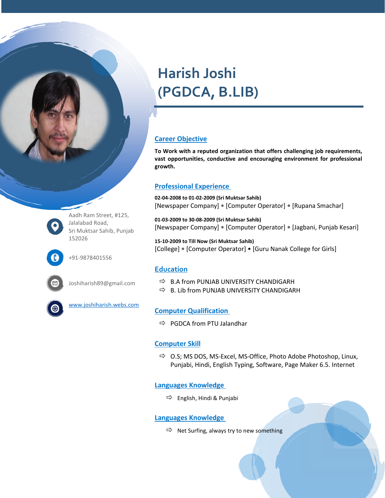# **Harish Joshi (PGDCA, B.LIB)**

#### **Career Objective**

**To Work with a reputed organization that offers challenging job requirements, vast opportunities, conductive and encouraging environment for professional growth.**

## **Professional Experience**

**02-04-2008 to 01-02-2009 (Sri Muktsar Sahib)** [Newspaper Company] **•** [Computer Operator] **•** [Rupana Smachar]

**01-03-2009 to 30-08-2009 (Sri Muktsar Sahib)** [Newspaper Company] **•** [Computer Operator] **•** [Jagbani, Punjab Kesari]

**15-10-2009 to Till Now (Sri Muktsar Sahib)** [College] **•** [Computer Operator] • [Guru Nanak College for Girls]

# **Education**

Aadh Ram Street, #125,

Sri Muktsar Sahib, Punjab

Joshiharish89@gmail.com

[www.joshiharish.webs.com](http://www.joshiharish.webs.com/)

Jalalabad Road,

+91-9878401556

152026

- $\Rightarrow$  B.A from PUNJAB UNIVERSITY CHANDIGARH
- $\Rightarrow$  B. Lib from PUNJAB UNIVERSITY CHANDIGARH

## **Computer Qualification**

 $\Rightarrow$  PGDCA from PTU Jalandhar

## **Computer Skill**

 $\Rightarrow$  O.S; MS DOS, MS-Excel, MS-Office, Photo Adobe Photoshop, Linux, Punjabi, Hindi, English Typing, Software, Page Maker 6.5. Internet

## **Languages Knowledge**

 $\Rightarrow$  English, Hindi & Punjabi

#### **Languages Knowledge**

 $\Rightarrow$  Net Surfing, always try to new something